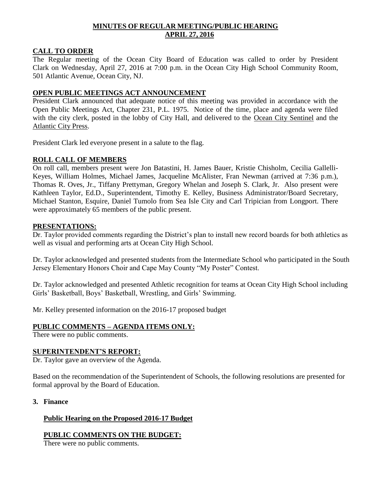## **MINUTES OF REGULAR MEETING/PUBLIC HEARING APRIL 27, 2016**

## **CALL TO ORDER**

The Regular meeting of the Ocean City Board of Education was called to order by President Clark on Wednesday, April 27, 2016 at 7:00 p.m. in the Ocean City High School Community Room, 501 Atlantic Avenue, Ocean City, NJ.

## **OPEN PUBLIC MEETINGS ACT ANNOUNCEMENT**

President Clark announced that adequate notice of this meeting was provided in accordance with the Open Public Meetings Act, Chapter 231, P.L. 1975. Notice of the time, place and agenda were filed with the city clerk, posted in the lobby of City Hall, and delivered to the Ocean City Sentinel and the Atlantic City Press.

President Clark led everyone present in a salute to the flag.

## **ROLL CALL OF MEMBERS**

On roll call, members present were Jon Batastini, H. James Bauer, Kristie Chisholm, Cecilia Gallelli-Keyes, William Holmes, Michael James, Jacqueline McAlister, Fran Newman (arrived at 7:36 p.m.), Thomas R. Oves, Jr., Tiffany Prettyman, Gregory Whelan and Joseph S. Clark, Jr. Also present were Kathleen Taylor, Ed.D., Superintendent, Timothy E. Kelley, Business Administrator/Board Secretary, Michael Stanton, Esquire, Daniel Tumolo from Sea Isle City and Carl Tripician from Longport. There were approximately 65 members of the public present.

### **PRESENTATIONS:**

Dr. Taylor provided comments regarding the District's plan to install new record boards for both athletics as well as visual and performing arts at Ocean City High School.

Dr. Taylor acknowledged and presented students from the Intermediate School who participated in the South Jersey Elementary Honors Choir and Cape May County "My Poster" Contest.

Dr. Taylor acknowledged and presented Athletic recognition for teams at Ocean City High School including Girls' Basketball, Boys' Basketball, Wrestling, and Girls' Swimming.

Mr. Kelley presented information on the 2016-17 proposed budget

## **PUBLIC COMMENTS – AGENDA ITEMS ONLY:**

There were no public comments.

### **SUPERINTENDENT'S REPORT:**

Dr. Taylor gave an overview of the Agenda.

Based on the recommendation of the Superintendent of Schools, the following resolutions are presented for formal approval by the Board of Education.

**3. Finance**

## **Public Hearing on the Proposed 2016-17 Budget**

**PUBLIC COMMENTS ON THE BUDGET:**

There were no public comments.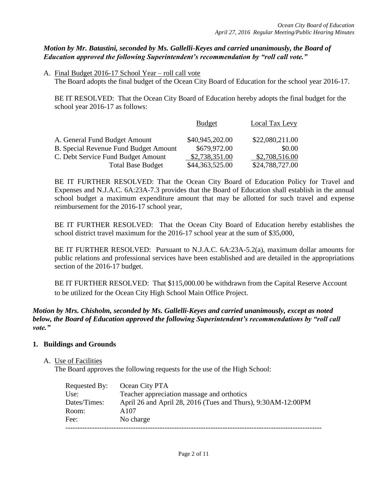## *Motion by Mr. Batastini, seconded by Ms. Gallelli-Keyes and carried unanimously, the Board of Education approved the following Superintendent's recommendation by "roll call vote."*

A. Final Budget 2016-17 School Year – roll call vote The Board adopts the final budget of the Ocean City Board of Education for the school year 2016-17.

BE IT RESOLVED: That the Ocean City Board of Education hereby adopts the final budget for the school year 2016-17 as follows:

|                                              | <b>Budget</b>   | Local Tax Levy  |
|----------------------------------------------|-----------------|-----------------|
| A. General Fund Budget Amount                | \$40,945,202.00 | \$22,080,211.00 |
| <b>B. Special Revenue Fund Budget Amount</b> | \$679,972.00    | \$0.00          |
| C. Debt Service Fund Budget Amount           | \$2,738,351.00  | \$2,708,516.00  |
| <b>Total Base Budget</b>                     | \$44,363,525.00 | \$24,788,727.00 |

BE IT FURTHER RESOLVED: That the Ocean City Board of Education Policy for Travel and Expenses and N.J.A.C. 6A:23A-7.3 provides that the Board of Education shall establish in the annual school budget a maximum expenditure amount that may be allotted for such travel and expense reimbursement for the 2016-17 school year,

BE IT FURTHER RESOLVED: That the Ocean City Board of Education hereby establishes the school district travel maximum for the 2016-17 school year at the sum of \$35,000,

BE IT FURTHER RESOLVED: Pursuant to N.J.A.C. 6A:23A-5.2(a), maximum dollar amounts for public relations and professional services have been established and are detailed in the appropriations section of the 2016-17 budget.

BE IT FURTHER RESOLVED: That \$115,000.00 be withdrawn from the Capital Reserve Account to be utilized for the Ocean City High School Main Office Project.

## *Motion by Mrs. Chisholm, seconded by Ms. Gallelli-Keyes and carried unanimously, except as noted below, the Board of Education approved the following Superintendent's recommendations by "roll call vote."*

## **1. Buildings and Grounds**

### A. Use of Facilities

The Board approves the following requests for the use of the High School:

| Requested By: | Ocean City PTA                                               |
|---------------|--------------------------------------------------------------|
| Use:          | Teacher appreciation massage and orthotics                   |
| Dates/Times:  | April 26 and April 28, 2016 (Tues and Thurs), 9:30AM-12:00PM |
| Room:         | A107                                                         |
| Fee:          | No charge                                                    |
|               |                                                              |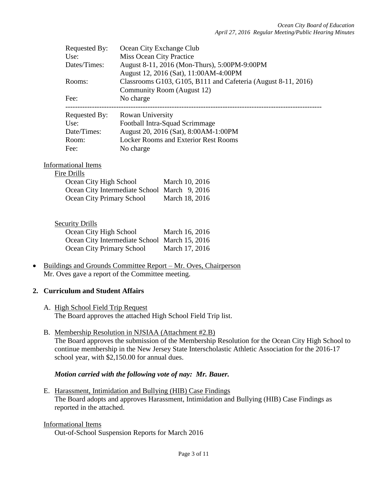| <b>Requested By:</b> | Ocean City Exchange Club                                      |
|----------------------|---------------------------------------------------------------|
| Use:                 | Miss Ocean City Practice                                      |
| Dates/Times:         | August 8-11, 2016 (Mon-Thurs), 5:00PM-9:00PM                  |
|                      | August 12, 2016 (Sat), 11:00AM-4:00PM                         |
| Rooms:               | Classrooms G103, G105, B111 and Cafeteria (August 8-11, 2016) |
|                      | Community Room (August 12)                                    |
| Fee:                 | No charge                                                     |
|                      |                                                               |
| Requested By:        | Rowan University                                              |
| Use:                 | Football Intra-Squad Scrimmage                                |
| Date/Times:          | August 20, 2016 (Sat), 8:00AM-1:00PM                          |
| Room:                | <b>Locker Rooms and Exterior Rest Rooms</b>                   |
| Fee:                 | No charge                                                     |

#### Informational Items Fire Drills

| Дишэ                                         |                |
|----------------------------------------------|----------------|
| Ocean City High School                       | March 10, 2016 |
| Ocean City Intermediate School March 9, 2016 |                |
| <b>Ocean City Primary School</b>             | March 18, 2016 |
|                                              |                |

### Security Drills

| Ocean City High School                        | March 16, 2016 |
|-----------------------------------------------|----------------|
| Ocean City Intermediate School March 15, 2016 |                |
| Ocean City Primary School                     | March 17, 2016 |

• Buildings and Grounds Committee Report – Mr. Oves, Chairperson Mr. Oves gave a report of the Committee meeting.

### **2. Curriculum and Student Affairs**

- A. High School Field Trip Request The Board approves the attached High School Field Trip list.
- B. Membership Resolution in NJSIAA (Attachment #2.B) The Board approves the submission of the Membership Resolution for the Ocean City High School to continue membership in the New Jersey State Interscholastic Athletic Association for the 2016-17 school year, with \$2,150.00 for annual dues.

### *Motion carried with the following vote of nay: Mr. Bauer.*

E. Harassment, Intimidation and Bullying (HIB) Case Findings The Board adopts and approves Harassment, Intimidation and Bullying (HIB) Case Findings as reported in the attached.

### Informational Items

Out-of-School Suspension Reports for March 2016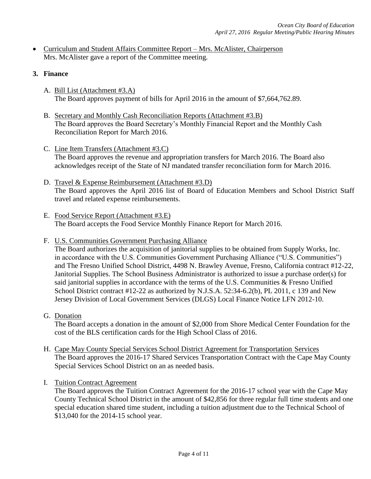- Curriculum and Student Affairs Committee Report Mrs. McAlister, Chairperson Mrs. McAlister gave a report of the Committee meeting.
- **3. Finance**
	- A. Bill List (Attachment #3.A) The Board approves payment of bills for April 2016 in the amount of \$7,664,762.89.
	- B. Secretary and Monthly Cash Reconciliation Reports (Attachment #3.B) The Board approves the Board Secretary's Monthly Financial Report and the Monthly Cash Reconciliation Report for March 2016.
	- C. Line Item Transfers (Attachment #3.C) The Board approves the revenue and appropriation transfers for March 2016. The Board also acknowledges receipt of the State of NJ mandated transfer reconciliation form for March 2016.
	- D. Travel & Expense Reimbursement (Attachment #3.D) The Board approves the April 2016 list of Board of Education Members and School District Staff travel and related expense reimbursements.
	- E. Food Service Report (Attachment #3.E) The Board accepts the Food Service Monthly Finance Report for March 2016.
	- F. U.S. Communities Government Purchasing Alliance

The Board authorizes the acquisition of janitorial supplies to be obtained from Supply Works, Inc. in accordance with the U.S. Communities Government Purchasing Alliance ("U.S. Communities") and The Fresno Unified School District, 4498 N. Brawley Avenue, Fresno, California contract #12-22, Janitorial Supplies. The School Business Administrator is authorized to issue a purchase order(s) for said janitorial supplies in accordance with the terms of the U.S. Communities  $&$  Fresno Unified School District contract #12-22 as authorized by N.J.S.A. 52:34-6.2(b), PL 2011, c 139 and New Jersey Division of Local Government Services (DLGS) Local Finance Notice LFN 2012-10.

G. Donation

The Board accepts a donation in the amount of \$2,000 from Shore Medical Center Foundation for the cost of the BLS certification cards for the High School Class of 2016.

- H. Cape May County Special Services School District Agreement for Transportation Services The Board approves the 2016-17 Shared Services Transportation Contract with the Cape May County Special Services School District on an as needed basis.
- I. Tuition Contract Agreement

The Board approves the Tuition Contract Agreement for the 2016-17 school year with the Cape May County Technical School District in the amount of \$42,856 for three regular full time students and one special education shared time student, including a tuition adjustment due to the Technical School of \$13,040 for the 2014-15 school year.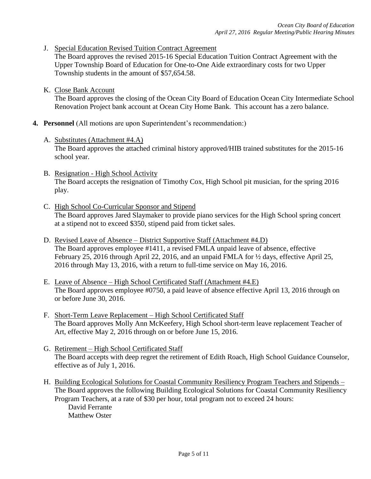J. Special Education Revised Tuition Contract Agreement

The Board approves the revised 2015-16 Special Education Tuition Contract Agreement with the Upper Township Board of Education for One-to-One Aide extraordinary costs for two Upper Township students in the amount of \$57,654.58.

K. Close Bank Account

The Board approves the closing of the Ocean City Board of Education Ocean City Intermediate School Renovation Project bank account at Ocean City Home Bank. This account has a zero balance.

- **4. Personnel** (All motions are upon Superintendent's recommendation:)
	- A. Substitutes (Attachment #4.A) The Board approves the attached criminal history approved/HIB trained substitutes for the 2015-16 school year.
	- B. Resignation High School Activity The Board accepts the resignation of Timothy Cox, High School pit musician, for the spring 2016 play.
	- C. High School Co-Curricular Sponsor and Stipend The Board approves Jared Slaymaker to provide piano services for the High School spring concert at a stipend not to exceed \$350, stipend paid from ticket sales.
	- D. Revised Leave of Absence District Supportive Staff (Attachment #4.D) The Board approves employee #1411, a revised FMLA unpaid leave of absence, effective February 25, 2016 through April 22, 2016, and an unpaid FMLA for  $\frac{1}{2}$  days, effective April 25, 2016 through May 13, 2016, with a return to full-time service on May 16, 2016.
	- E. Leave of Absence High School Certificated Staff (Attachment #4.E) The Board approves employee #0750, a paid leave of absence effective April 13, 2016 through on or before June 30, 2016.
	- F. Short-Term Leave Replacement High School Certificated Staff The Board approves Molly Ann McKeefery*,* High School short-term leave replacement Teacher of Art, effective May 2, 2016 through on or before June 15, 2016.
	- G. Retirement High School Certificated Staff The Board accepts with deep regret the retirement of Edith Roach, High School Guidance Counselor, effective as of July 1, 2016.
	- H. Building Ecological Solutions for Coastal Community Resiliency Program Teachers and Stipends The Board approves the following Building Ecological Solutions for Coastal Community Resiliency Program Teachers, at a rate of \$30 per hour, total program not to exceed 24 hours:

David Ferrante Matthew Oster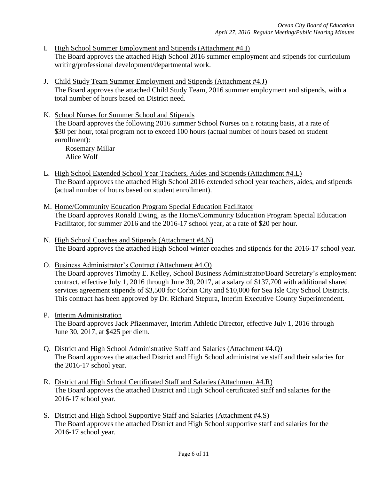- I. High School Summer Employment and Stipends (Attachment #4.I) The Board approves the attached High School 2016 summer employment and stipends for curriculum writing/professional development/departmental work.
- J. Child Study Team Summer Employment and Stipends (Attachment #4.J) The Board approves the attached Child Study Team, 2016 summer employment and stipends, with a total number of hours based on District need.
- K. School Nurses for Summer School and Stipends The Board approves the following 2016 summer School Nurses on a rotating basis, at a rate of \$30 per hour, total program not to exceed 100 hours (actual number of hours based on student enrollment):

Rosemary Millar Alice Wolf

- L. High School Extended School Year Teachers, Aides and Stipends (Attachment #4.L) The Board approves the attached High School 2016 extended school year teachers, aides, and stipends (actual number of hours based on student enrollment).
- M. Home/Community Education Program Special Education Facilitator The Board approves Ronald Ewing, as the Home/Community Education Program Special Education Facilitator, for summer 2016 and the 2016-17 school year, at a rate of \$20 per hour.
- N. High School Coaches and Stipends (Attachment #4.N) The Board approves the attached High School winter coaches and stipends for the 2016-17 school year.

O. Business Administrator's Contract (Attachment #4.O) The Board approves Timothy E. Kelley, School Business Administrator/Board Secretary's employment contract, effective July 1, 2016 through June 30, 2017, at a salary of \$137,700 with additional shared services agreement stipends of \$3,500 for Corbin City and \$10,000 for Sea Isle City School Districts. This contract has been approved by Dr. Richard Stepura, Interim Executive County Superintendent.

P. Interim Administration

The Board approves Jack Pfizenmayer, Interim Athletic Director, effective July 1, 2016 through June 30, 2017, at \$425 per diem.

- Q. District and High School Administrative Staff and Salaries (Attachment #4.Q) The Board approves the attached District and High School administrative staff and their salaries for the 2016-17 school year.
- R. District and High School Certificated Staff and Salaries (Attachment #4.R) The Board approves the attached District and High School certificated staff and salaries for the 2016-17 school year.
- S. District and High School Supportive Staff and Salaries (Attachment #4.S) The Board approves the attached District and High School supportive staff and salaries for the 2016-17 school year.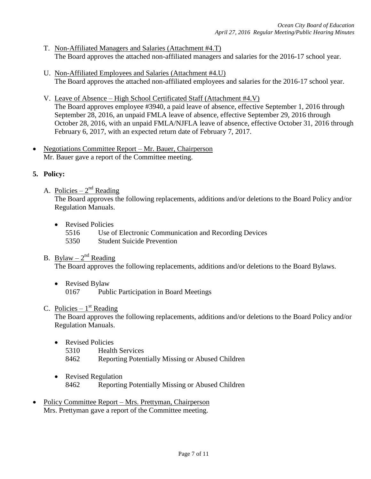- T. Non-Affiliated Managers and Salaries (Attachment #4.T) The Board approves the attached non-affiliated managers and salaries for the 2016-17 school year.
- U. Non-Affiliated Employees and Salaries (Attachment #4.U) The Board approves the attached non-affiliated employees and salaries for the 2016-17 school year.
- V. Leave of Absence High School Certificated Staff (Attachment #4.V) The Board approves employee #3940, a paid leave of absence, effective September 1, 2016 through September 28, 2016, an unpaid FMLA leave of absence, effective September 29, 2016 through October 28, 2016, with an unpaid FMLA/NJFLA leave of absence, effective October 31, 2016 through February 6, 2017, with an expected return date of February 7, 2017.
- Negotiations Committee Report Mr. Bauer, Chairperson Mr. Bauer gave a report of the Committee meeting.

## **5. Policy:**

- A. Policies  $2<sup>nd</sup>$  Reading The Board approves the following replacements, additions and/or deletions to the Board Policy and/or Regulation Manuals.
	- Revised Policies
		- 5516 Use of Electronic Communication and Recording Devices
		- 5350 Student Suicide Prevention

## B. Bylaw –  $2^{nd}$  Reading

The Board approves the following replacements, additions and/or deletions to the Board Bylaws.

- Revised Bylaw
	- 0167 Public Participation in Board Meetings

## C. Policies –  $1<sup>st</sup>$  Reading

The Board approves the following replacements, additions and/or deletions to the Board Policy and/or Regulation Manuals.

- Revised Policies
	- 5310 Health Services
	- 8462 Reporting Potentially Missing or Abused Children
- Revised Regulation 8462 Reporting Potentially Missing or Abused Children
- Policy Committee Report Mrs. Prettyman, Chairperson Mrs. Prettyman gave a report of the Committee meeting.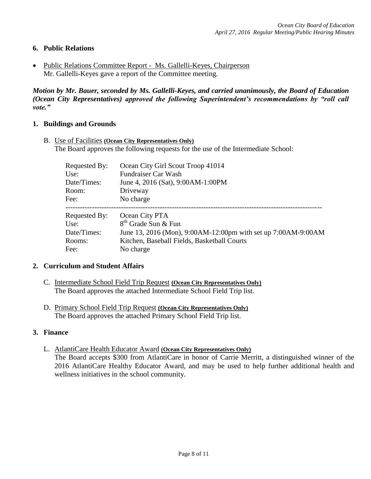## **6. Public Relations**

 Public Relations Committee Report - Ms. Gallelli-Keyes, Chairperson Mr. Gallelli-Keyes gave a report of the Committee meeting.

*Motion by Mr. Bauer, seconded by Ms. Gallelli-Keyes, and carried unanimously, the Board of Education (Ocean City Representatives) approved the following Superintendent's recommendations by "roll call vote."* 

### **1. Buildings and Grounds**

B. Use of Facilities **(Ocean City Representatives Only)** The Board approves the following requests for the use of the Intermediate School:

| Requested By: | Ocean City Girl Scout Troop 41014                             |
|---------------|---------------------------------------------------------------|
| Use:          | Fundraiser Car Wash                                           |
| Date/Times:   | June 4, 2016 (Sat), 9:00AM-1:00PM                             |
| Room:         | Driveway                                                      |
| Fee:          | No charge                                                     |
|               |                                                               |
| Requested By: | Ocean City PTA                                                |
| Use:          | 8 <sup>th</sup> Grade Sun & Fun                               |
| Date/Times:   | June 13, 2016 (Mon), 9:00AM-12:00pm with set up 7:00AM-9:00AM |
| Rooms:        | Kitchen, Baseball Fields, Basketball Courts                   |

### **2. Curriculum and Student Affairs**

- C. Intermediate School Field Trip Request **(Ocean City Representatives Only)** The Board approves the attached Intermediate School Field Trip list.
- D. Primary School Field Trip Request **(Ocean City Representatives Only)** The Board approves the attached Primary School Field Trip list.

### **3. Finance**

L. AtlantiCare Health Educator Award **(Ocean City Representatives Only)** The Board accepts \$300 from AtlantiCare in honor of Carrie Merritt, a distinguished winner of the 2016 AtlantiCare Healthy Educator Award, and may be used to help further additional health and wellness initiatives in the school community.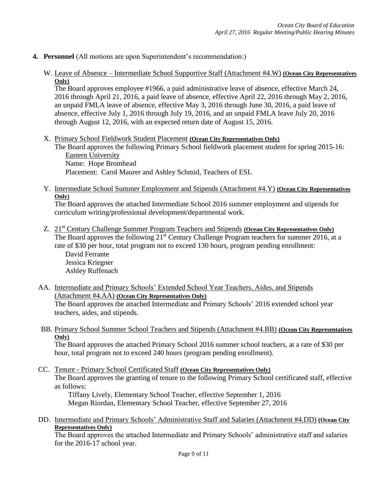## **4. Personnel** (All motions are upon Superintendent's recommendation:)

W. Leave of Absence – Intermediate School Supportive Staff (Attachment #4.W) **(Ocean City Representatives Only)**

The Board approves employee #1966, a paid administrative leave of absence, effective March 24, 2016 through April 21, 2016, a paid leave of absence, effective April 22, 2016 through May 2, 2016, an unpaid FMLA leave of absence, effective May 3, 2016 through June 30, 2016, a paid leave of absence, effective July 1, 2016 through July 19, 2016, and an unpaid FMLA leave July 20, 2016 through August 12, 2016, with an expected return date of August 15, 2016.

X. Primary School Fieldwork Student Placement **(Ocean City Representatives Only)**

The Board approves the following Primary School fieldwork placement student for spring 2015-16: Eastern University Name: Hope Bromhead Placement: Carol Maurer and Ashley Schmid, Teachers of ESL

Y. Intermediate School Summer Employment and Stipends (Attachment #4.Y) **(Ocean City Representatives Only)**

The Board approves the attached Intermediate School 2016 summer employment and stipends for curriculum writing/professional development/departmental work.

- Z. 21st Century Challenge Summer Program Teachers and Stipends **(Ocean City Representatives Only)** The Board approves the following 21<sup>st</sup> Century Challenge Program teachers for summer 2016, at a rate of \$30 per hour, total program not to exceed 130 hours, program pending enrollment: David Ferrante Jessica Kriegner Ashley Ruffenach
- AA. Intermediate and Primary Schools' Extended School Year Teachers, Aides, and Stipends (Attachment #4.AA) **(Ocean City Representatives Only)** The Board approves the attached Intermediate and Primary Schools' 2016 extended school year

teachers, aides, and stipends.

BB. Primary School Summer School Teachers and Stipends (Attachment #4.BB) **(Ocean City Representatives Only)**

The Board approves the attached Primary School 2016 summer school teachers, at a rate of \$30 per hour, total program not to exceed 240 hours (program pending enrollment).

CC. Tenure - Primary School Certificated Staff **(Ocean City Representatives Only)** The Board approves the granting of tenure to the following Primary School certificated staff, effective as follows:

Tiffany Lively, Elementary School Teacher, effective September 1, 2016 Megan Riordan, Elementary School Teacher, effective September 27, 2016

DD. Intermediate and Primary Schools' Administrative Staff and Salaries (Attachment #4.DD) **(Ocean City Representatives Only)**

The Board approves the attached Intermediate and Primary Schools' administrative staff and salaries for the 2016-17 school year.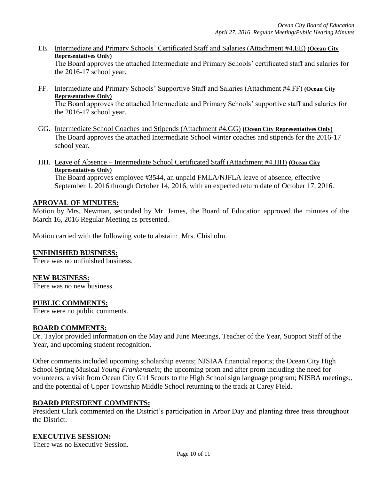EE. Intermediate and Primary Schools' Certificated Staff and Salaries (Attachment #4.EE) **(Ocean City Representatives Only)**

The Board approves the attached Intermediate and Primary Schools' certificated staff and salaries for the 2016-17 school year.

- FF. Intermediate and Primary Schools' Supportive Staff and Salaries (Attachment #4.FF) **(Ocean City Representatives Only)** The Board approves the attached Intermediate and Primary Schools' supportive staff and salaries for
- GG. Intermediate School Coaches and Stipends (Attachment #4.GG) **(Ocean City Representatives Only)** The Board approves the attached Intermediate School winter coaches and stipends for the 2016-17 school year.
- HH. Leave of Absence Intermediate School Certificated Staff (Attachment #4.HH) **(Ocean City Representatives Only)** The Board approves employee #3544, an unpaid FMLA/NJFLA leave of absence, effective September 1, 2016 through October 14, 2016, with an expected return date of October 17, 2016.

## **APROVAL OF MINUTES:**

the 2016-17 school year.

Motion by Mrs. Newman, seconded by Mr. James, the Board of Education approved the minutes of the March 16, 2016 Regular Meeting as presented.

Motion carried with the following vote to abstain: Mrs. Chisholm.

### **UNFINISHED BUSINESS:**

There was no unfinished business.

### **NEW BUSINESS:**

There was no new business.

### **PUBLIC COMMENTS:**

There were no public comments.

### **BOARD COMMENTS:**

Dr. Taylor provided information on the May and June Meetings, Teacher of the Year, Support Staff of the Year, and upcoming student recognition.

Other comments included upcoming scholarship events; NJSIAA financial reports; the Ocean City High School Spring Musical *Young Frankenstein*; the upcoming prom and after prom including the need for volunteers; a visit from Ocean City Girl Scouts to the High School sign language program; NJSBA meetings;, and the potential of Upper Township Middle School returning to the track at Carey Field.

## **BOARD PRESIDENT COMMENTS:**

President Clark commented on the District's participation in Arbor Day and planting three tress throughout the District.

### **EXECUTIVE SESSION:**

There was no Executive Session.